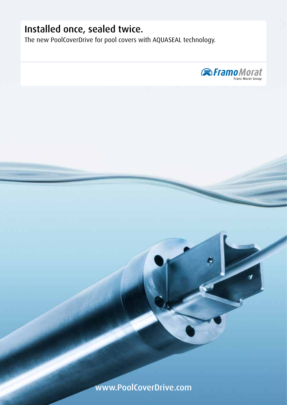# Installed once, sealed twice.

The new PoolCoverDrive for pool covers with AQUASEAL technology.



www.PoolCoverDrive.com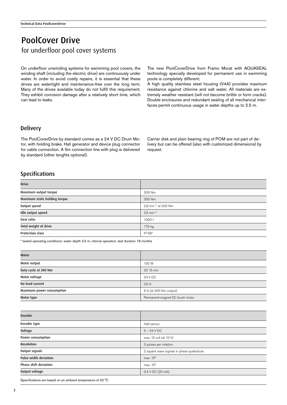# PoolCover Drive for underfloor pool cover systems

On underfloor unwinding systems for swimming pool covers, the winding shaft (including the electric drive) are continuously under water. In order to avoid costly repairs, it is essential that these drives are watertight and maintenance-free over the long term. Many of the drives available today do not fulfill this requirement. They exhibit corrosion damage after a relatively short time, which can lead to leaks.

The new PoolCoverDrive from Framo Morat with AQUASEAL technology specially developed for permanent use in swimming pools is completely different:

A high quality stainless steel housing (V4A) provides maximum resistance against chlorine and salt water. All materials are extremely weather resistant (will not become brittle or form cracks). Double enclosures and redundant sealing of all mechanical interfaces permit continuous usage in water depths up to 2.5 m.

### **Delivery**

The PoolCoverDrive by standard comes as a 24 V DC Drum Motor, with holding brake, Hall generator and device plug connector for cable connection. A 5m connection line with plug is delivered by standard (other lenghts optional).

Carrier disk and plain bearing ring of POM are not part of delivery but can be offered (also with customized dimensions) by request.

### Specifications

| <b>Drive</b>                  |                                 |
|-------------------------------|---------------------------------|
| Maximum output torque         | 300 Nm                          |
| Maximum static holding torque | 350 Nm                          |
| Output speed                  | 2,8 min <sup>-1</sup> at 300 Nm |
| Idle output speed             | $3.5 \text{ min}^{-1}$          |
| Gear ratio                    | 1000:1                          |
| Total weight of drive         | 17,5 kg                         |
| <b>Protection class</b>       | IP 68*                          |

\* tested operating conditions: water depth 2.5 m, interval operation, test duration 18 months

| <b>Motor</b>              |                                 |
|---------------------------|---------------------------------|
| Motor output              | 100 W                           |
| Duty cycle at 300 Nm      | S2 15 min.                      |
| Motor voltage             | 24 V DC                         |
| No-load current           | 0.5A                            |
| Maximum power consumption | 6 A (at 300 Nm output)          |
| Motor type                | Permanent-magnet DC brush motor |

| <b>Encoder</b>        |                                           |
|-----------------------|-------------------------------------------|
| Encoder type          | Hall sensor                               |
| Voltage               | $5 - 24$ V DC                             |
| Power consumption     | max. 12 mA (at 12 V)                      |
| Resolution            | 2 pulses per rotation                     |
| Output signals        | 2 square wave signals in phase quadrature |
| Pulse width deviation | max. $15^\circ$                           |
| Phase shift deviation | max. 15°                                  |
| Output voltage        | 0,4 V DC (20 mA)                          |

Specifications are based on an ambient temperature of 20 °C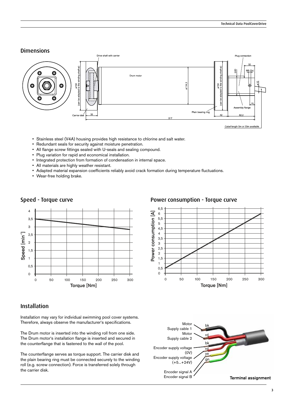### Dimensions



- Stainless steel (V4A) housing provides high resistance to chlorine and salt water.
- Redundant seals for security against moisture penetration.
- All flange screw fittings sealed with U-seals and sealing compound.
- Plug variation for rapid and economical installation.
- Integrated protection from formation of condensation in internal space.
- All materials are highly weather resistant.
- Adapted material expansion coefficients reliably avoid crack formation during temperature fluctuations.
- Wear-free holding brake.



# Installation

Installation may vary for individual swimming pool cover systems. Therefore, always observe the manufacturer's specifications.

The Drum motor is inserted into the winding roll from one side. The Drum motor's installation flange is inserted and secured in the counterflange that is fastened to the wall of the pool.

The counterflange serves as torque support. The carrier disk and the plain bearing ring must be connected securely to the winding roll (e.g. screw connection). Force is transferred solely through the carrier disk.

## Speed - Torque curve **Power consumption - Torque curve**